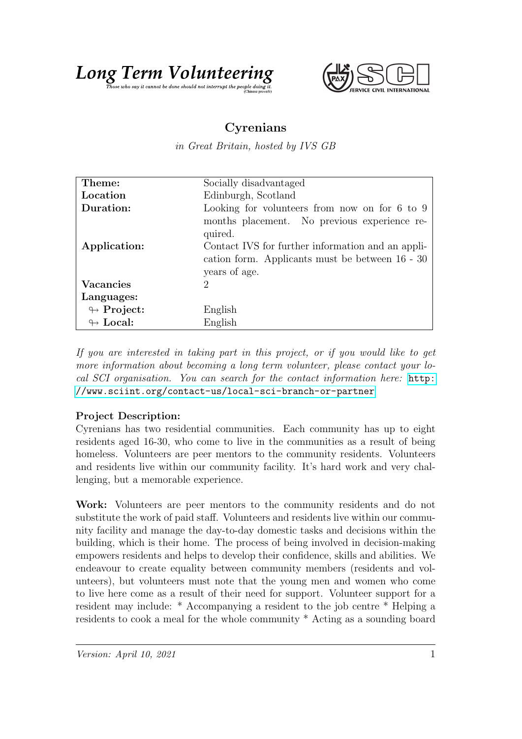



## Cyrenians

in Great Britain, hosted by IVS GB

| Theme:                     | Socially disadvantaged                                                                                                                                                           |
|----------------------------|----------------------------------------------------------------------------------------------------------------------------------------------------------------------------------|
| Location                   | Edinburgh, Scotland                                                                                                                                                              |
| Duration:                  | Looking for volunteers from now on for 6 to 9                                                                                                                                    |
| Application:               | months placement. No previous experience re-<br>quired.<br>Contact IVS for further information and an appli-<br>cation form. Applicants must be between 16 - 30<br>years of age. |
| Vacancies                  | 2                                                                                                                                                                                |
| Languages:                 |                                                                                                                                                                                  |
| $\leftrightarrow$ Project: | English                                                                                                                                                                          |
| $\leftrightarrow$ Local:   | English                                                                                                                                                                          |

If you are interested in taking part in this project, or if you would like to get more information about becoming a long term volunteer, please contact your local SCI organisation. You can search for the contact information here: [http:](http://www.sciint.org/contact-us/local-sci-branch-or-partner) [//www.sciint.org/contact-us/local-sci-branch-or-partner](http://www.sciint.org/contact-us/local-sci-branch-or-partner)

## Project Description:

Cyrenians has two residential communities. Each community has up to eight residents aged 16-30, who come to live in the communities as a result of being homeless. Volunteers are peer mentors to the community residents. Volunteers and residents live within our community facility. It's hard work and very challenging, but a memorable experience.

Work: Volunteers are peer mentors to the community residents and do not substitute the work of paid staff. Volunteers and residents live within our community facility and manage the day-to-day domestic tasks and decisions within the building, which is their home. The process of being involved in decision-making empowers residents and helps to develop their confidence, skills and abilities. We endeavour to create equality between community members (residents and volunteers), but volunteers must note that the young men and women who come to live here come as a result of their need for support. Volunteer support for a resident may include: \* Accompanying a resident to the job centre \* Helping a residents to cook a meal for the whole community \* Acting as a sounding board